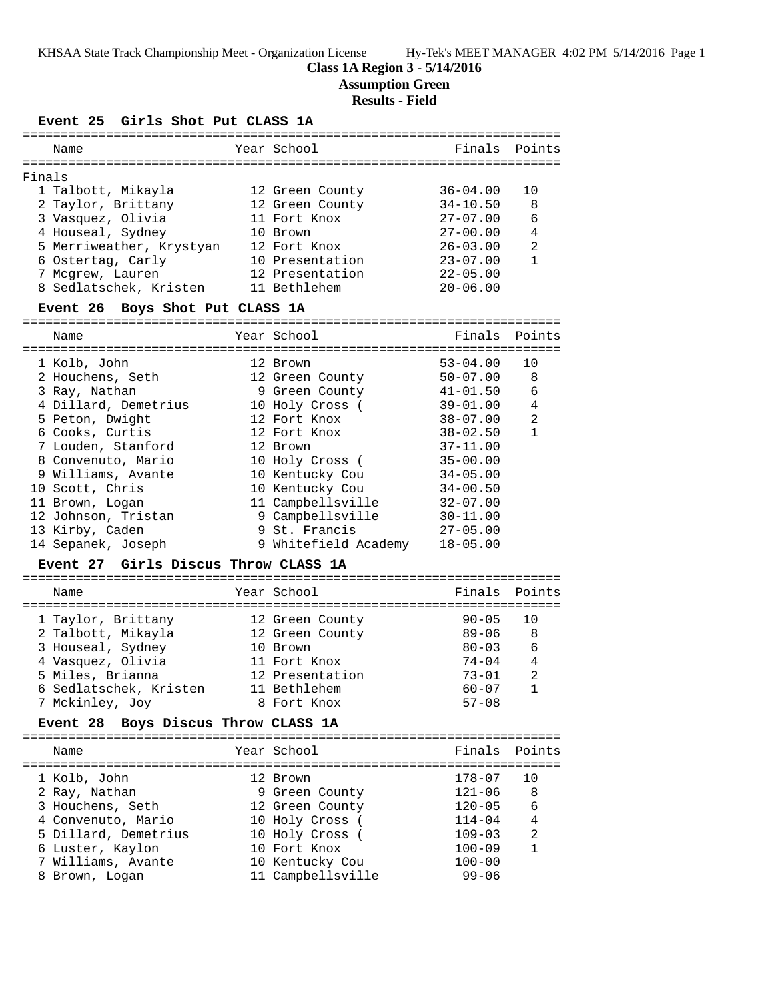### **Class 1A Region 3 - 5/14/2016**

**Assumption Green**

### **Results - Field**

### **Event 25 Girls Shot Put CLASS 1A**

| Name                            |  | Year School     | Finals Points |                |  |  |
|---------------------------------|--|-----------------|---------------|----------------|--|--|
|                                 |  |                 |               |                |  |  |
| Finals                          |  |                 |               |                |  |  |
| 1 Talbott, Mikayla              |  | 12 Green County | $36 - 04.00$  | 1 O            |  |  |
| 2 Taylor, Brittany              |  | 12 Green County | $34 - 10.50$  | 8              |  |  |
| 3 Vasquez, Olivia               |  | 11 Fort Knox    | $27 - 07.00$  | 6              |  |  |
| 4 Houseal, Sydney               |  | 10 Brown        | $27 - 00.00$  | 4              |  |  |
| 5 Merriweather, Krystyan        |  | 12 Fort Knox    | $26 - 03.00$  | $\mathfrak{D}$ |  |  |
| 6 Ostertag, Carly               |  | 10 Presentation | $23 - 07.00$  |                |  |  |
| 7 Mcgrew, Lauren                |  | 12 Presentation | $22 - 05.00$  |                |  |  |
| 8 Sedlatschek, Kristen          |  | 11 Bethlehem    | $20 - 06.00$  |                |  |  |
| Event 26 Boys Shot Put CLASS 1A |  |                 |               |                |  |  |
| Name                            |  | Year School     | Finals        | Points         |  |  |
|                                 |  |                 |               |                |  |  |

| 1 Kolb, John         | 12 Brown             | $53 - 04.00$ | 10             |
|----------------------|----------------------|--------------|----------------|
| 2 Houchens, Seth     | 12 Green County      | $50 - 07.00$ | 8              |
| 3 Ray, Nathan        | 9 Green County       | $41 - 01.50$ | 6              |
| 4 Dillard, Demetrius | 10 Holy Cross (      | $39 - 01.00$ | 4              |
| 5 Peton, Dwight      | 12 Fort Knox         | $38 - 07.00$ | $\overline{2}$ |
| 6 Cooks, Curtis      | 12 Fort Knox         | $38 - 02.50$ | 1              |
| 7 Louden, Stanford   | 12 Brown             | $37 - 11.00$ |                |
| 8 Convenuto, Mario   | 10 Holy Cross (      | $35 - 00.00$ |                |
| 9 Williams, Avante   | 10 Kentucky Cou      | $34 - 05.00$ |                |
| 10 Scott, Chris      | 10 Kentucky Cou      | $34 - 00.50$ |                |
| 11 Brown, Logan      | 11 Campbellsville    | $32 - 07.00$ |                |
| 12 Johnson, Tristan  | 9 Campbellsville     | $30 - 11.00$ |                |
| 13 Kirby, Caden      | 9 St. Francis        | $27 - 05.00$ |                |
| 14 Sepanek, Joseph   | 9 Whitefield Academy | $18 - 05.00$ |                |

#### **Event 27 Girls Discus Throw CLASS 1A**

| Name                   | Year School     | Finals Points |                |
|------------------------|-----------------|---------------|----------------|
| 1 Taylor, Brittany     | 12 Green County | $90 - 05$     | ີ 1 ດ          |
| 2 Talbott, Mikayla     | 12 Green County | $89 - 06$     | -8             |
| 3 Houseal, Sydney      | 10 Brown        | $80 - 03$     | - 6            |
| 4 Vasquez, Olivia      | 11 Fort Knox    | $74 - 04$     | $\overline{4}$ |
| 5 Miles, Brianna       | 12 Presentation | $73 - 01$     | 2              |
| 6 Sedlatschek, Kristen | 11 Bethlehem    | $60 - 07$     |                |
| 7 Mckinley, Joy        | 8 Fort Knox     | $57 - 08$     |                |

#### **Event 28 Boys Discus Throw CLASS 1A**

| Name                 | Year School       | Finals Points |                |
|----------------------|-------------------|---------------|----------------|
| 1 Kolb, John         | 12 Brown          | $178 - 07$    | 1 O            |
| 2 Ray, Nathan        | 9 Green County    | $121 - 06$    | -8             |
| 3 Houchens, Seth     | 12 Green County   | $120 - 05$    | 6              |
| 4 Convenuto, Mario   | 10 Holy Cross (   | $114 - 04$    | 4              |
| 5 Dillard, Demetrius | 10 Holy Cross (   | $109 - 03$    | $\mathfrak{D}$ |
| 6 Luster, Kaylon     | 10 Fort Knox      | $100 - 09$    |                |
| 7 Williams, Avante   | 10 Kentucky Cou   | $100 - 00$    |                |
| 8 Brown, Logan       | 11 Campbellsville | $99 - 06$     |                |
|                      |                   |               |                |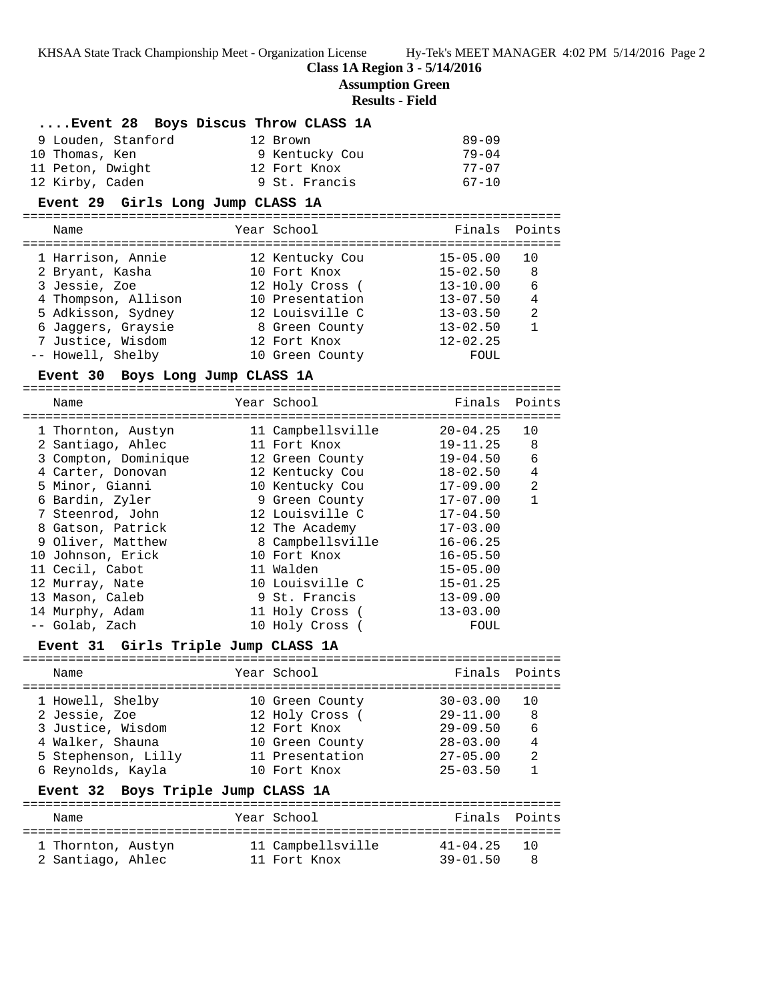**Class 1A Region 3 - 5/14/2016**

**Assumption Green**

# **Results - Field**

| Event 28 Boys Discus Throw CLASS 1A |                                               |  |                                   |                                     |              |  |
|-------------------------------------|-----------------------------------------------|--|-----------------------------------|-------------------------------------|--------------|--|
|                                     | 9 Louden, Stanford                            |  | 12 Brown                          | $89 - 09$                           |              |  |
|                                     | 10 Thomas, Ken                                |  | 9 Kentucky Cou                    | $79 - 04$                           |              |  |
|                                     | 11 Peton, Dwight                              |  | 12 Fort Knox                      | $77 - 07$                           |              |  |
|                                     | 12 Kirby, Caden                               |  | 9 St. Francis                     | $67 - 10$                           |              |  |
|                                     | Event 29 Girls Long Jump CLASS 1A             |  |                                   |                                     |              |  |
|                                     | Name                                          |  | Year School                       | Finals                              | Points       |  |
|                                     |                                               |  |                                   |                                     |              |  |
|                                     | 1 Harrison, Annie                             |  | 12 Kentucky Cou                   | $15 - 05.00$                        | 10           |  |
|                                     | 2 Bryant, Kasha                               |  | 10 Fort Knox                      | $15 - 02.50$                        | 8            |  |
|                                     | 3 Jessie, Zoe                                 |  | 12 Holy Cross (                   | $13 - 10.00$                        | 6            |  |
|                                     | 4 Thompson, Allison                           |  | 10 Presentation                   | $13 - 07.50$                        | 4            |  |
|                                     | 5 Adkisson, Sydney                            |  | 12 Louisville C                   | $13 - 03.50$                        | 2            |  |
|                                     | 6 Jaggers, Graysie                            |  | 8 Green County                    | $13 - 02.50$                        | $\mathbf{1}$ |  |
|                                     | 7 Justice, Wisdom                             |  | 12 Fort Knox                      | $12 - 02.25$                        |              |  |
|                                     | -- Howell, Shelby                             |  | 10 Green County                   | FOUL                                |              |  |
|                                     | Event 30 Boys Long Jump CLASS 1A              |  |                                   |                                     |              |  |
|                                     | Name                                          |  | Year School                       | Finals                              | Points       |  |
|                                     |                                               |  |                                   |                                     |              |  |
|                                     | 1 Thornton, Austyn<br>2 Santiago, Ahlec       |  | 11 Campbellsville<br>11 Fort Knox | $20 - 04.25$<br>$19 - 11.25$        | 10<br>8      |  |
|                                     | 3 Compton, Dominique                          |  | 12 Green County                   | 19-04.50                            | 6            |  |
|                                     | 4 Carter, Donovan                             |  | 12 Kentucky Cou                   | 18-02.50                            | 4            |  |
|                                     | 5 Minor, Gianni                               |  | 10 Kentucky Cou                   | 17-09.00                            | 2            |  |
|                                     | 6 Bardin, Zyler                               |  | 9 Green County                    | 17-07.00                            | $\mathbf{1}$ |  |
|                                     | 7 Steenrod, John                              |  | 12 Louisville C                   | $17 - 04.50$                        |              |  |
|                                     | 8 Gatson, Patrick                             |  | 12 The Academy                    | $17 - 03.00$                        |              |  |
|                                     | 9 Oliver, Matthew                             |  | 8 Campbellsville                  | $16 - 06.25$                        |              |  |
|                                     | 10 Johnson, Erick                             |  | 10 Fort Knox                      | $16 - 05.50$                        |              |  |
|                                     | 11 Cecil, Cabot                               |  | 11 Walden                         | $15 - 05.00$                        |              |  |
|                                     | 12 Murray, Nate                               |  | 10 Louisville C                   | $15 - 01.25$                        |              |  |
|                                     | 13 Mason, Caleb                               |  | 9 St. Francis                     | $13 - 09.00$                        |              |  |
|                                     | 14 Murphy, Adam                               |  | 11 Holy Cross (                   | $13 - 03.00$                        |              |  |
|                                     | -- Golab, Zach                                |  | 10 Holy Cross (                   | FOUL                                |              |  |
|                                     | Girls Triple Jump CLASS 1A<br><b>Event 31</b> |  |                                   |                                     |              |  |
|                                     | Name                                          |  | Year School                       | Finals                              | Points       |  |
|                                     |                                               |  |                                   | =================================== |              |  |
|                                     | 1 Howell, Shelby                              |  | 10 Green County                   | $30 - 03.00$                        | 10           |  |
|                                     | 2 Jessie, Zoe<br>3 Justice, Wisdom            |  | 12 Holy Cross (<br>12 Fort Knox   | $29 - 11.00$<br>$29 - 09.50$        | 8<br>6       |  |
|                                     | 4 Walker, Shauna                              |  | 10 Green County                   | $28 - 03.00$                        | 4            |  |
|                                     | 5 Stephenson, Lilly                           |  | 11 Presentation                   | $27 - 05.00$                        | 2            |  |
|                                     | 6 Reynolds, Kayla                             |  | 10 Fort Knox                      | $25 - 03.50$                        | 1            |  |
|                                     | Boys Triple Jump CLASS 1A<br>Event 32         |  |                                   |                                     |              |  |
|                                     |                                               |  |                                   |                                     |              |  |
|                                     | Name                                          |  | Year School                       | Finals                              | Points       |  |
|                                     | 1 Thornton, Austyn                            |  | 11 Campbellsville                 | $41 - 04.25$                        | 10           |  |
|                                     | 2 Santiago, Ahlec                             |  | 11 Fort Knox                      | $39 - 01.50$                        | 8            |  |
|                                     |                                               |  |                                   |                                     |              |  |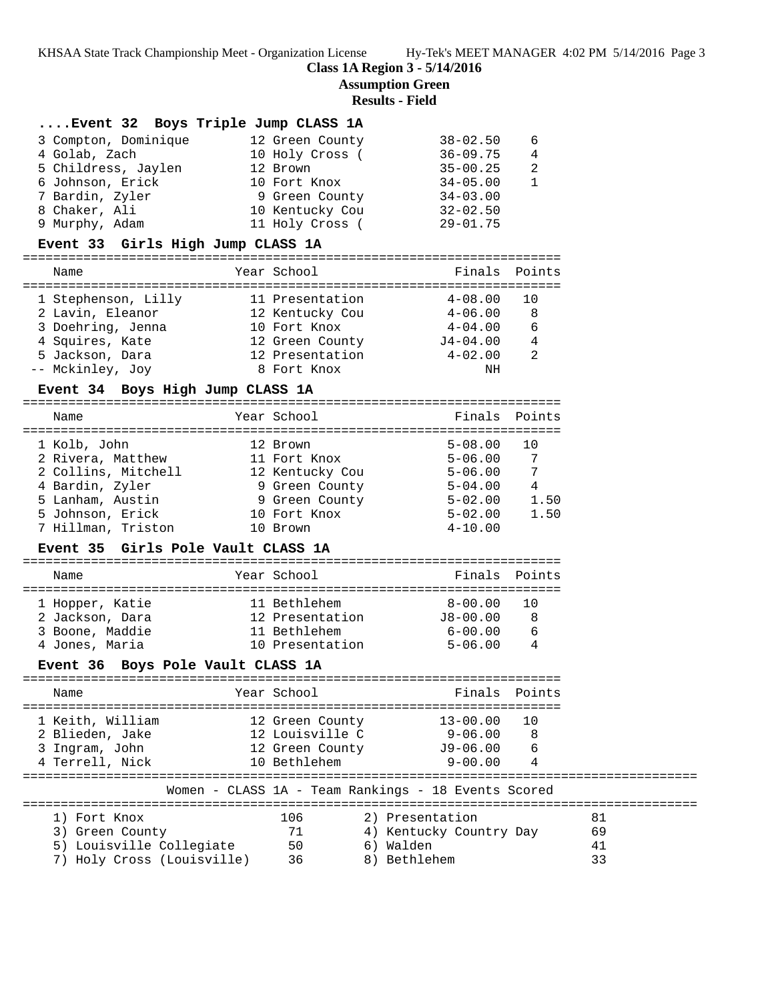**Class 1A Region 3 - 5/14/2016**

**Assumption Green**

# **Results - Field**

| Event 32 Boys Triple Jump CLASS 1A                     |                                    |                                                     |                |    |
|--------------------------------------------------------|------------------------------------|-----------------------------------------------------|----------------|----|
| 3 Compton, Dominique                                   | 12 Green County                    | 38-02.50                                            | 6              |    |
| 4 Golab, Zach                                          | 10 Holy Cross (                    | $36 - 09.75$                                        | 4              |    |
| 5 Childress, Jaylen 12 Brown                           |                                    | $35 - 00.25$                                        | 2              |    |
| 6 Johnson, Erick                                       | 10 Fort Knox                       | 34-05.00                                            | $\mathbf{1}$   |    |
| 7 Bardin, Zyler                                        | 10 Fort Knox<br>9 Green County     | $34 - 03.00$                                        |                |    |
| 8 Chaker, Ali                                          |                                    | 10 Kentucky Cou 32-02.50                            |                |    |
| 9 Murphy, Adam                                         | 11 Holy Cross (                    | 29-01.75                                            |                |    |
| Event 33 Girls High Jump CLASS 1A                      |                                    |                                                     |                |    |
| Name                                                   | Year School                        | Finals Points                                       |                |    |
| 1 Stephenson, Lilly 11 Presentation                    |                                    | $4-08.00$                                           | 10             |    |
| 2 Lavin, Eleanor                                       |                                    | 12 Kentucky Cou <a>&gt; 4-06.00</a>                 | 8              |    |
| 3 Doehring, Jenna                                      | 10 Fort Knox                       | $4 - 04.00$                                         | 6              |    |
| 4 Squires, Kate                                        | 12 Green County<br>12 Presentation |                                                     |                |    |
| 5 Jackson, Dara                                        |                                    | $J4-04.00 44-02.00 2$                               |                |    |
| -- Mckinley, Joy                                       | 8 Fort Knox                        | NH                                                  |                |    |
| Event 34 Boys High Jump CLASS 1A                       |                                    |                                                     |                |    |
| Name                                                   | Year School                        | Finals Points                                       |                |    |
|                                                        |                                    |                                                     |                |    |
| 1 Kolb, John                                           | 12 Brown                           | $5 - 08.00$                                         | 10             |    |
| 2 Rivera, Matthew 11 Fort Knox                         |                                    | 5-06.00                                             | $\overline{7}$ |    |
| 2 Collins, Mitchell 12 Kentucky Cou<br>4 Bardin, Zyler |                                    | $5 - 06.00$                                         | 7              |    |
| 5 Lanham, Austin                                       | 9 Green County<br>9 Green County   | 5-04.00  4<br>5-02.00  1.50                         |                |    |
| 5 Johnson, Erick                                       | 10 Fort Knox                       | $5 - 02.00$                                         | 1.50           |    |
| 7 Hillman, Triston 10 Brown                            |                                    | $4 - 10.00$                                         |                |    |
| Event 35 Girls Pole Vault CLASS 1A                     |                                    |                                                     |                |    |
|                                                        |                                    |                                                     |                |    |
| Name                                                   | Year School                        | Finals                                              | Points         |    |
|                                                        |                                    |                                                     |                |    |
| 1 Hopper, Katie                                        | 11 Bethlehem                       | $8 - 00.00$                                         | 10<br>8        |    |
| 2 Jackson, Dara<br>3 Boone, Maddie                     | 11 Bethlehem                       | 12 Presentation J8-00.00                            | 6              |    |
| 4 Jones, Maria 10 Presentation                         |                                    | $6 - 00.00$<br>5-06.00                              | $\overline{4}$ |    |
| Event 36 Boys Pole Vault CLASS 1A                      |                                    |                                                     |                |    |
|                                                        |                                    |                                                     |                |    |
| Name                                                   | Year School                        | Finals                                              | Points         |    |
| 1 Keith, William                                       | 12 Green County                    | $13 - 00.00$                                        | 10             |    |
| 2 Blieden, Jake                                        | 12 Louisville C                    | $9 - 06.00$                                         | 8              |    |
| 3 Ingram, John                                         | 12 Green County                    | $J9-06.00$                                          | 6              |    |
| 4 Terrell, Nick                                        | 10 Bethlehem                       | $9 - 00.00$                                         | 4              |    |
|                                                        |                                    | Women - CLASS 1A - Team Rankings - 18 Events Scored |                |    |
| 1) Fort Knox                                           | 106                                | 2) Presentation                                     |                | 81 |
| 3) Green County                                        | 71                                 | 4) Kentucky Country Day                             |                | 69 |
| 5) Louisville Collegiate                               | 50                                 | 6) Walden                                           |                | 41 |
| 7) Holy Cross (Louisville)                             | 36                                 | 8) Bethlehem                                        |                | 33 |
|                                                        |                                    |                                                     |                |    |